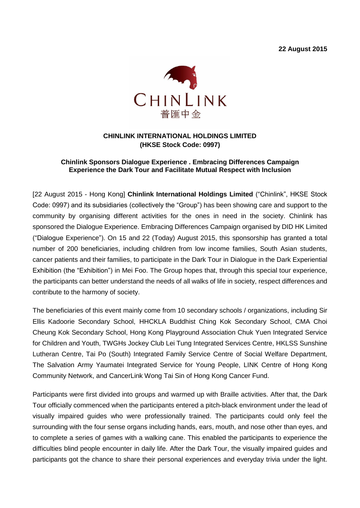**22 August 2015**



# **CHINLINK INTERNATIONAL HOLDINGS LIMITED (HKSE Stock Code: 0997)**

## **Chinlink Sponsors Dialogue Experience . Embracing Differences Campaign Experience the Dark Tour and Facilitate Mutual Respect with Inclusion**

[22 August 2015 - Hong Kong] **Chinlink International Holdings Limited** ("Chinlink", HKSE Stock Code: 0997) and its subsidiaries (collectively the "Group") has been showing care and support to the community by organising different activities for the ones in need in the society. Chinlink has sponsored the Dialogue Experience. Embracing Differences Campaign organised by DID HK Limited ("Dialogue Experience"). On 15 and 22 (Today) August 2015, this sponsorship has granted a total number of 200 beneficiaries, including children from low income families, South Asian students, cancer patients and their families, to participate in the Dark Tour in Dialogue in the Dark Experiential Exhibition (the "Exhibition") in Mei Foo. The Group hopes that, through this special tour experience, the participants can better understand the needs of all walks of life in society, respect differences and contribute to the harmony of society.

The beneficiaries of this event mainly come from 10 secondary schools / organizations, including Sir Ellis Kadoorie Secondary School, HHCKLA Buddhist Ching Kok Secondary School, CMA Choi Cheung Kok Secondary School, Hong Kong Playground Association Chuk Yuen Integrated Service for Children and Youth, TWGHs Jockey Club Lei Tung Integrated Services Centre, HKLSS Sunshine Lutheran Centre, Tai Po (South) Integrated Family Service Centre of Social Welfare Department, The Salvation Army Yaumatei Integrated Service for Young People, LINK Centre of Hong Kong Community Network, and CancerLink Wong Tai Sin of Hong Kong Cancer Fund.

Participants were first divided into groups and warmed up with Braille activities. After that, the Dark Tour officially commenced when the participants entered a pitch-black environment under the lead of visually impaired guides who were professionally trained. The participants could only feel the surrounding with the four sense organs including hands, ears, mouth, and nose other than eyes, and to complete a series of games with a walking cane. This enabled the participants to experience the difficulties blind people encounter in daily life. After the Dark Tour, the visually impaired guides and participants got the chance to share their personal experiences and everyday trivia under the light.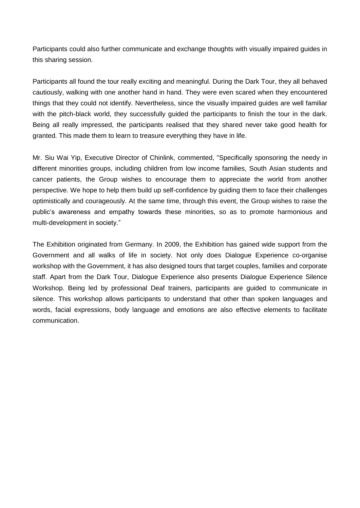Participants could also further communicate and exchange thoughts with visually impaired guides in this sharing session.

Participants all found the tour really exciting and meaningful. During the Dark Tour, they all behaved cautiously, walking with one another hand in hand. They were even scared when they encountered things that they could not identify. Nevertheless, since the visually impaired guides are well familiar with the pitch-black world, they successfully guided the participants to finish the tour in the dark. Being all really impressed, the participants realised that they shared never take good health for granted. This made them to learn to treasure everything they have in life.

Mr. Siu Wai Yip, Executive Director of Chinlink, commented, "Specifically sponsoring the needy in different minorities groups, including children from low income families, South Asian students and cancer patients, the Group wishes to encourage them to appreciate the world from another perspective. We hope to help them build up self-confidence by guiding them to face their challenges optimistically and courageously. At the same time, through this event, the Group wishes to raise the public's awareness and empathy towards these minorities, so as to promote harmonious and multi-development in society."

The Exhibition originated from Germany. In 2009, the Exhibition has gained wide support from the Government and all walks of life in society. Not only does Dialogue Experience co-organise workshop with the Government, it has also designed tours that target couples, families and corporate staff. Apart from the Dark Tour, Dialogue Experience also presents Dialogue Experience Silence Workshop. Being led by professional Deaf trainers, participants are guided to communicate in silence. This workshop allows participants to understand that other than spoken languages and words, facial expressions, body language and emotions are also effective elements to facilitate communication.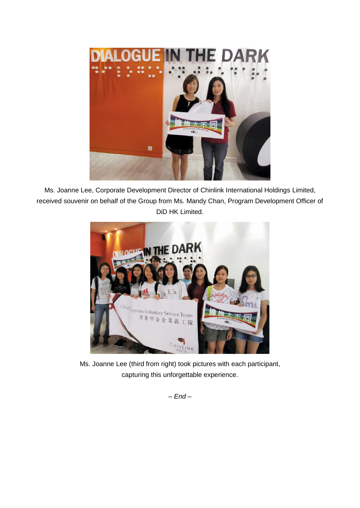

Ms. Joanne Lee, Corporate Development Director of Chinlink International Holdings Limited, received souvenir on behalf of the Group from Ms. Mandy Chan, Program Development Officer of DiD HK Limited.



Ms. Joanne Lee (third from right) took pictures with each participant, capturing this unforgettable experience.

*– End –*